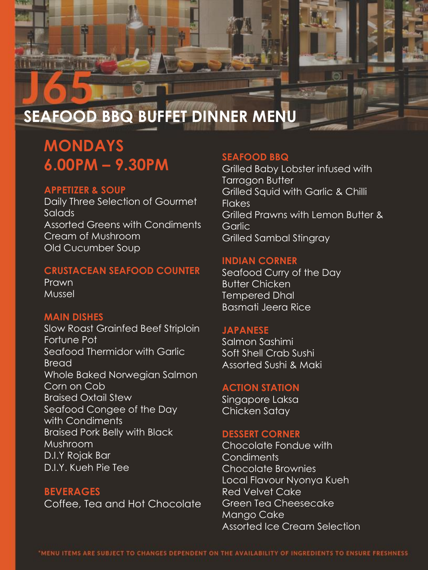

# **SEAFOOD BBQ BUFFET DINNER MENU**

# **MONDAYS 6.00PM – 9.30PM**

# **APPETIZER & SOUP**

Daily Three Selection of Gourmet Salads Assorted Greens with Condiments Cream of Mushroom Old Cucumber Soup

# **CRUSTACEAN SEAFOOD COUNTER**

Prawn Mussel

# **MAIN DISHES**

Slow Roast Grainfed Beef Striploin Fortune Pot Seafood Thermidor with Garlic **Bread** Whole Baked Norwegian Salmon Corn on Cob Braised Oxtail Stew Seafood Congee of the Day with Condiments Braised Pork Belly with Black Mushroom D.I.Y Rojak Bar D.I.Y. Kueh Pie Tee

**BEVERAGES** Coffee, Tea and Hot Chocolate

#### **SEAFOOD BBQ**

Grilled Baby Lobster infused with Tarragon Butter Grilled Squid with Garlic & Chilli **Flakes** Grilled Prawns with Lemon Butter & **Garlic** Grilled Sambal Stingray

#### **INDIAN CORNER**

Seafood Curry of the Day Butter Chicken Tempered Dhal Basmati Jeera Rice

### **JAPANESE**

Salmon Sashimi Soft Shell Crab Sushi Assorted Sushi & Maki

### **ACTION STATION**

Singapore Laksa Chicken Satay

#### **DESSERT CORNER**

Chocolate Fondue with **Condiments** Chocolate Brownies Local Flavour Nyonya Kueh Red Velvet Cake Green Tea Cheesecake Mango Cake Assorted Ice Cream Selection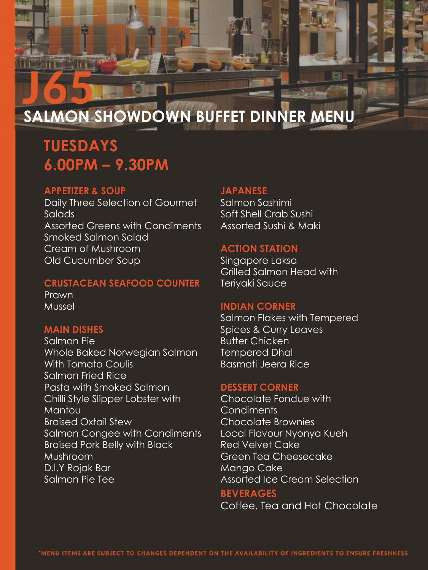

# **SALMON SHOWDOWN BUFFET DINNER MENU**

# **TUESDAYS 6.00PM – 9.30PM**

#### **APPETIZER & SOUP**

Daily Three Selection of Gourmet Salads Assorted Greens with Condiments Smoked Salmon Salad Cream of Mushroom Old Cucumber Soup

#### **CRUSTACEAN SEAFOOD COUNTER**

Prawn Mussel

# **MAIN DISHES**

Salmon Pie Whole Baked Norwegian Salmon With Tomato Coulis Salmon Fried Rice Pasta with Smoked Salmon Chilli Style Slipper Lobster with Mantou Braised Oxtail Stew Salmon Congee with Condiments Braised Pork Belly with Black Mushroom D.I.Y Rojak Bar Salmon Pie Tee

## **JAPANESE**

Salmon Sashimi Soft Shell Crab Sushi Assorted Sushi & Maki

#### **ACTION STATION**

Singapore Laksa Grilled Salmon Head with Teriyaki Sauce

#### **INDIAN CORNER**

Salmon Flakes with Tempered Spices & Curry Leaves Butter Chicken Tempered Dhal Basmati Jeera Rice

#### **DESSERT CORNER**

Chocolate Fondue with **Condiments** Chocolate Brownies Local Flavour Nyonya Kueh Red Velvet Cake Green Tea Cheesecake Mango Cake Assorted Ice Cream Selection

#### **BEVERAGES**

Coffee, Tea and Hot Chocolate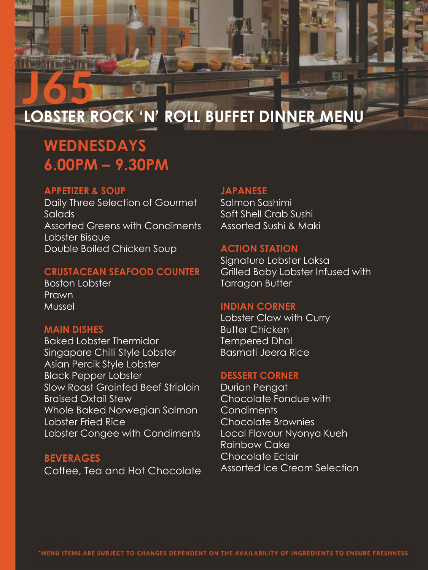

# **LOBSTER ROCK 'N' ROLL BUFFET DINNER MENU**

# **WEDNESDAYS 6.00PM – 9.30PM**

#### **APPETIZER & SOUP**

Daily Three Selection of Gourmet Salads Assorted Greens with Condiments Lobster Bisque Double Boiled Chicken Soup

# **CRUSTACEAN SEAFOOD COUNTER**

Boston Lobster Prawn Mussel

# **MAIN DISHES**

Baked Lobster Thermidor Singapore Chilli Style Lobster Asian Percik Style Lobster Black Pepper Lobster Slow Roast Grainfed Beef Striploin Braised Oxtail Stew Whole Baked Norwegian Salmon Lobster Fried Rice Lobster Congee with Condiments

### **BEVERAGES** Coffee, Tea and Hot Chocolate

# **JAPANESE**

Salmon Sashimi Soft Shell Crab Sushi Assorted Sushi & Maki

#### **ACTION STATION**

Signature Lobster Laksa Grilled Baby Lobster Infused with Tarragon Butter

## **INDIAN CORNER**

Lobster Claw with Curry Butter Chicken Tempered Dhal Basmati Jeera Rice

# **DESSERT CORNER**

Durian Pengat Chocolate Fondue with **Condiments** Chocolate Brownies Local Flavour Nyonya Kueh Rainbow Cake Chocolate Eclair Assorted Ice Cream Selection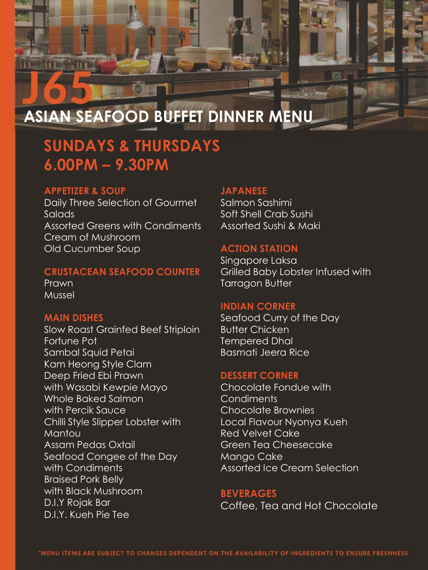

# **ASIAN SEAFOOD BUFFET DINNER MENU**

# **SUNDAYS & THURSDAYS 6.00PM – 9.30PM**

#### **APPETIZER & SOUP**

Daily Three Selection of Gourmet Salads Assorted Greens with Condiments Cream of Mushroom Old Cucumber Soup

#### **CRUSTACEAN SEAFOOD COUNTER**

Prawn Mussel

#### **MAIN DISHES**

Slow Roast Grainfed Beef Striploin Fortune Pot Sambal Squid Petai Kam Heong Style Clam Deep Fried Ebi Prawn with Wasabi Kewpie Mayo Whole Baked Salmon with Percik Sauce Chilli Style Slipper Lobster with **Mantou** Assam Pedas Oxtail Seafood Congee of the Day with Condiments Braised Pork Belly with Black Mushroom D.I.Y Rojak Bar D.I.Y. Kueh Pie Tee

# **JAPANESE**

Salmon Sashimi Soft Shell Crab Sushi Assorted Sushi & Maki

#### **ACTION STATION**

Singapore Laksa Grilled Baby Lobster Infused with Tarragon Butter

#### **INDIAN CORNER**

Seafood Curry of the Day Butter Chicken Tempered Dhal Basmati Jeera Rice

#### **DESSERT CORNER**

Chocolate Fondue with **Condiments** Chocolate Brownies Local Flavour Nyonya Kueh Red Velvet Cake Green Tea Cheesecake Mango Cake Assorted Ice Cream Selection

#### **BEVERAGES**

Coffee, Tea and Hot Chocolate